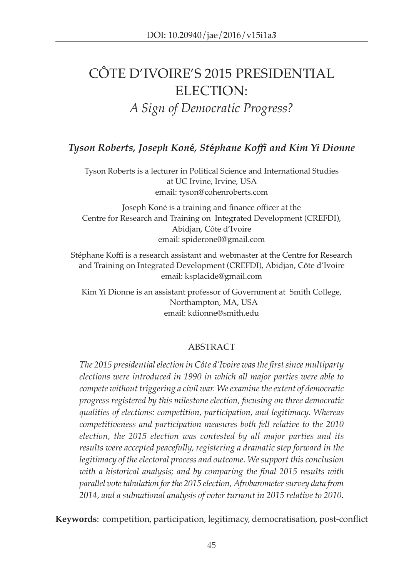# Côte D'Ivoire's 2015 Presidential ELECTION: *A Sign of Democratic Progress?*

# *Tyson Roberts, Joseph Kon***é***, St***é***phane Koffi and Kim Yi Dionne*

Tyson Roberts is a lecturer in Political Science and International Studies at UC Irvine, Irvine, USA email: [tyson@cohenroberts.com](mailto:tyson@cohenroberts.com)

Joseph Koné is a training and finance officer at the Centre for Research and Training on Integrated Development (CREFDI), Abidjan, Côte d'Ivoire email: [spiderone0@gmail.com](mailto:spiderone0@gmail.com)

Stéphane Koffi is a research assistant and webmaster at the Centre for Research and Training on Integrated Development (CREFDI), Abidjan, Côte d'Ivoire email: [ksplacide@gmail.com](mailto:ksplacide@gmail.com)

Kim Yi Dionne is an assistant professor of Government at Smith College, Northampton, MA, USA email: [kdionne@smith.edu](mailto:kdionne@smith.edu)

#### ABSTRACT

*The 2015 presidential election in Côte d'Ivoire was the first since multiparty elections were introduced in 1990 in which all major parties were able to compete without triggering a civil war. We examine the extent of democratic progress registered by this milestone election, focusing on three democratic qualities of elections: competition, participation, and legitimacy. Whereas competitiveness and participation measures both fell relative to the 2010 election, the 2015 election was contested by all major parties and its results were accepted peacefully, registering a dramatic step forward in the legitimacy of the electoral process and outcome. We support this conclusion with a historical analysis; and by comparing the final 2015 results with parallel vote tabulation for the 2015 election, Afrobarometer survey data from 2014, and a subnational analysis of voter turnout in 2015 relative to 2010.* 

**Keywords**: competition, participation, legitimacy, democratisation, post-conflict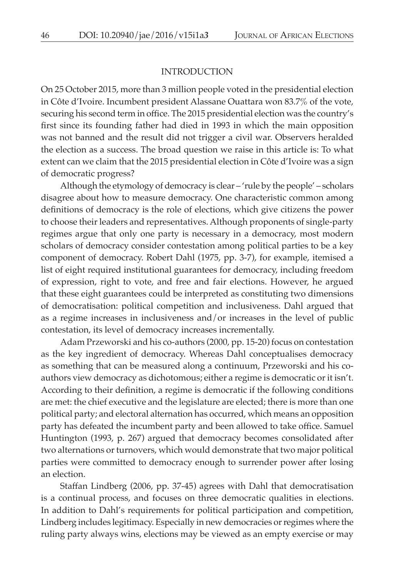#### INTRODUCTION

On 25 October 2015, more than 3 million people voted in the presidential election in Côte d'Ivoire. Incumbent president Alassane Ouattara won 83.7% of the vote, securing his second term in office. The 2015 presidential election was the country's first since its founding father had died in 1993 in which the main opposition was not banned and the result did not trigger a civil war. Observers heralded the election as a success. The broad question we raise in this article is: To what extent can we claim that the 2015 presidential election in Côte d'Ivoire was a sign of democratic progress?

Although the etymology of democracy is clear – 'rule by the people' – scholars disagree about how to measure democracy. One characteristic common among definitions of democracy is the role of elections, which give citizens the power to choose their leaders and representatives. Although proponents of single-party regimes argue that only one party is necessary in a democracy, most modern scholars of democracy consider contestation among political parties to be a key component of democracy. Robert Dahl (1975, pp. 3-7), for example, itemised a list of eight required institutional guarantees for democracy, including freedom of expression, right to vote, and free and fair elections. However, he argued that these eight guarantees could be interpreted as constituting two dimensions of democratisation: political competition and inclusiveness. Dahl argued that as a regime increases in inclusiveness and/or increases in the level of public contestation, its level of democracy increases incrementally.

Adam Przeworski and his co-authors (2000, pp. 15-20) focus on contestation as the key ingredient of democracy. Whereas Dahl conceptualises democracy as something that can be measured along a continuum, Przeworski and his coauthors view democracy as dichotomous; either a regime is democratic or it isn't. According to their definition, a regime is democratic if the following conditions are met: the chief executive and the legislature are elected; there is more than one political party; and electoral alternation has occurred, which means an opposition party has defeated the incumbent party and been allowed to take office. Samuel Huntington (1993, p. 267) argued that democracy becomes consolidated after two alternations or turnovers, which would demonstrate that two major political parties were committed to democracy enough to surrender power after losing an election.

Staffan Lindberg (2006, pp. 37-45) agrees with Dahl that democratisation is a continual process, and focuses on three democratic qualities in elections. In addition to Dahl's requirements for political participation and competition, Lindberg includes legitimacy. Especially in new democracies or regimes where the ruling party always wins, elections may be viewed as an empty exercise or may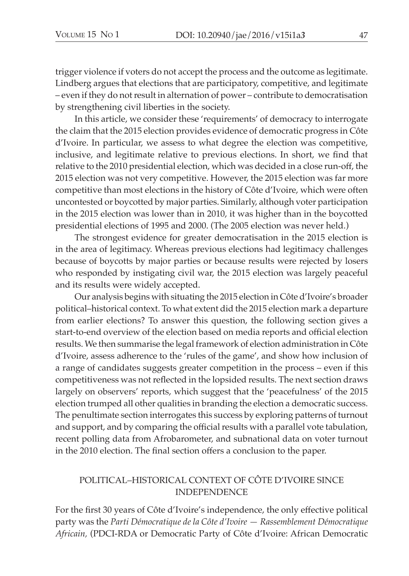trigger violence if voters do not accept the process and the outcome as legitimate. Lindberg argues that elections that are participatory, competitive, and legitimate – even if they do not result in alternation of power – contribute to democratisation by strengthening civil liberties in the society.

In this article, we consider these 'requirements' of democracy to interrogate the claim that the 2015 election provides evidence of democratic progress in Côte d'Ivoire. In particular, we assess to what degree the election was competitive, inclusive, and legitimate relative to previous elections. In short, we find that relative to the 2010 presidential election, which was decided in a close run-off, the 2015 election was not very competitive. However, the 2015 election was far more competitive than most elections in the history of Côte d'Ivoire, which were often uncontested or boycotted by major parties. Similarly, although voter participation in the 2015 election was lower than in 2010, it was higher than in the boycotted presidential elections of 1995 and 2000. (The 2005 election was never held.)

The strongest evidence for greater democratisation in the 2015 election is in the area of legitimacy. Whereas previous elections had legitimacy challenges because of boycotts by major parties or because results were rejected by losers who responded by instigating civil war, the 2015 election was largely peaceful and its results were widely accepted.

Our analysis begins with situating the 2015 election in Côte d'Ivoire's broader political–historical context. To what extent did the 2015 election mark a departure from earlier elections? To answer this question, the following section gives a start-to-end overview of the election based on media reports and official election results. We then summarise the legal framework of election administration in Côte d'Ivoire, assess adherence to the 'rules of the game', and show how inclusion of a range of candidates suggests greater competition in the process – even if this competitiveness was not reflected in the lopsided results. The next section draws largely on observers' reports, which suggest that the 'peacefulness' of the 2015 election trumped all other qualities in branding the election a democratic success. The penultimate section interrogates this success by exploring patterns of turnout and support, and by comparing the official results with a parallel vote tabulation, recent polling data from Afrobarometer, and subnational data on voter turnout in the 2010 election. The final section offers a conclusion to the paper.

# POLITICAL–HISTORICAL CONTEXT OF CôTE D'IVOIRE SINCE INDEPENDENCE

For the first 30 years of Côte d'Ivoire's independence, the only effective political party was the *Parti Démocratique de la Côte d'Ivoire — Rassemblement Démocratique Africain,* (PDCI-RDA or Democratic Party of Côte d'Ivoire: African Democratic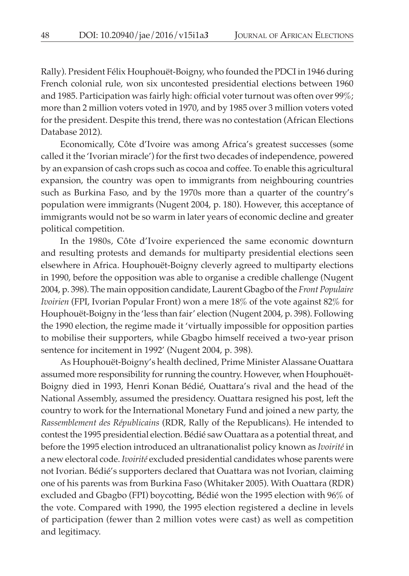Rally). President Félix Houphouët-Boigny, who founded the PDCI in 1946 during French colonial rule, won six uncontested presidential elections between 1960 and 1985. Participation was fairly high: official voter turnout was often over 99%; more than 2 million voters voted in 1970, and by 1985 over 3 million voters voted for the president. Despite this trend, there was no contestation (African Elections Database 2012).

Economically, Côte d'Ivoire was among Africa's greatest successes (some called it the 'Ivorian miracle') for the first two decades of independence, powered by an expansion of cash crops such as cocoa and coffee. To enable this agricultural expansion, the country was open to immigrants from neighbouring countries such as Burkina Faso, and by the 1970s more than a quarter of the country's population were immigrants (Nugent 2004, p. 180). However, this acceptance of immigrants would not be so warm in later years of economic decline and greater political competition.

In the 1980s, Côte d'Ivoire experienced the same economic downturn and resulting protests and demands for multiparty presidential elections seen elsewhere in Africa. Houphouët-Boigny cleverly agreed to multiparty elections in 1990, before the opposition was able to organise a credible challenge (Nugent 2004, p. 398). The main opposition candidate, Laurent Gbagbo of the *Front Populaire Ivoirien* (FPI, Ivorian Popular Front) won a mere 18% of the vote against 82% for Houphouët-Boigny in the 'less than fair' election (Nugent 2004, p. 398). Following the 1990 election, the regime made it 'virtually impossible for opposition parties to mobilise their supporters, while Gbagbo himself received a two-year prison sentence for incitement in 1992' (Nugent 2004, p. 398).

As Houphouët-Boigny's health declined, Prime Minister Alassane Ouattara assumed more responsibility for running the country. However, when Houphouët-Boigny died in 1993, Henri Konan Bédié, Ouattara's rival and the head of the National Assembly, assumed the presidency. Ouattara resigned his post, left the country to work for the International Monetary Fund and joined a new party, the *Rassemblement des Républicains* (RDR, Rally of the Republicans). He intended to contest the 1995 presidential election. Bédié saw Ouattara as a potential threat, and before the 1995 election introduced an ultranationalist policy known as *Ivoirité* in a new electoral code. *Ivoirité* excluded presidential candidates whose parents were not Ivorian. Bédié's supporters declared that Ouattara was not Ivorian, claiming one of his parents was from Burkina Faso (Whitaker 2005). With Ouattara (RDR) excluded and Gbagbo (FPI) boycotting, Bédié won the 1995 election with 96% of the vote. Compared with 1990, the 1995 election registered a decline in levels of participation (fewer than 2 million votes were cast) as well as competition and legitimacy.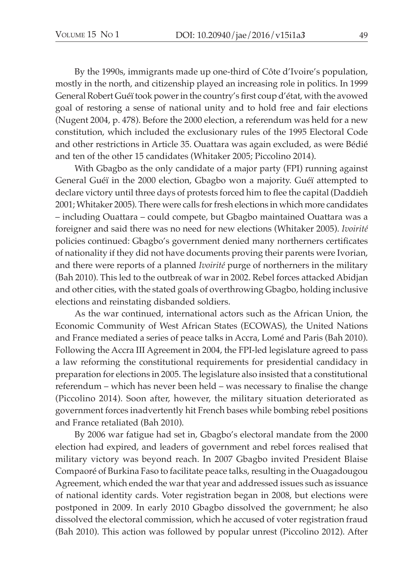By the 1990s, immigrants made up one-third of Côte d'Ivoire's population, mostly in the north, and citizenship played an increasing role in politics. In 1999 General Robert Guéï took power in the country's first coup d'état, with the avowed goal of restoring a sense of national unity and to hold free and fair elections (Nugent 2004, p. 478). Before the 2000 election, a referendum was held for a new constitution, which included the exclusionary rules of the 1995 Electoral Code and other restrictions in Article 35. Ouattara was again excluded, as were Bédié and ten of the other 15 candidates (Whitaker 2005; Piccolino 2014).

With Gbagbo as the only candidate of a major party (FPI) running against General Guéï in the 2000 election, Gbagbo won a majority. Guéï attempted to declare victory until three days of protests forced him to flee the capital (Daddieh 2001; Whitaker 2005). There were calls for fresh elections in which more candidates – including Ouattara – could compete, but Gbagbo maintained Ouattara was a foreigner and said there was no need for new elections (Whitaker 2005). *Ivoirité* policies continued: Gbagbo's government denied many northerners certificates of nationality if they did not have documents proving their parents were Ivorian, and there were reports of a planned *Ivoirité* purge of northerners in the military (Bah 2010). This led to the outbreak of war in 2002. Rebel forces attacked Abidjan and other cities, with the stated goals of overthrowing Gbagbo, holding inclusive elections and reinstating disbanded soldiers.

As the war continued, international actors such as the African Union, the Economic Community of West African States (ECOWAS), the United Nations and France mediated a series of peace talks in Accra, Lomé and Paris (Bah 2010). Following the Accra III Agreement in 2004, the FPI-led legislature agreed to pass a law reforming the constitutional requirements for presidential candidacy in preparation for elections in 2005. The legislature also insisted that a constitutional referendum – which has never been held – was necessary to finalise the change (Piccolino 2014). Soon after, however, the military situation deteriorated as government forces inadvertently hit French bases while bombing rebel positions and France retaliated (Bah 2010).

By 2006 war fatigue had set in, Gbagbo's electoral mandate from the 2000 election had expired, and leaders of government and rebel forces realised that military victory was beyond reach. In 2007 Gbagbo invited President Blaise Compaoré of Burkina Faso to facilitate peace talks, resulting in the Ouagadougou Agreement, which ended the war that year and addressed issues such as issuance of national identity cards. Voter registration began in 2008, but elections were postponed in 2009. In early 2010 Gbagbo dissolved the government; he also dissolved the electoral commission, which he accused of voter registration fraud (Bah 2010). This action was followed by popular unrest (Piccolino 2012). After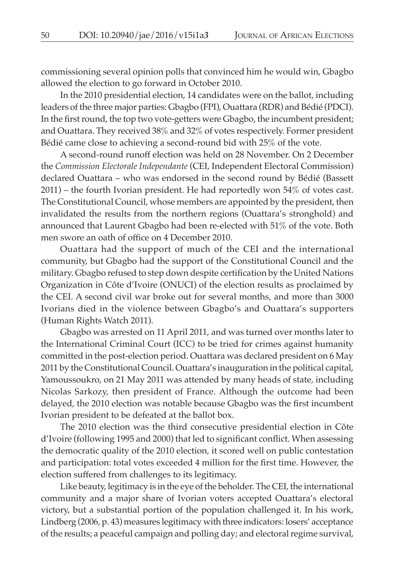commissioning several opinion polls that convinced him he would win, Gbagbo allowed the election to go forward in October 2010.

In the 2010 presidential election, 14 candidates were on the ballot, including leaders of the three major parties: Gbagbo (FPI), Ouattara (RDR) and Bédié (PDCI). In the first round, the top two vote-getters were Gbagbo, the incumbent president; and Ouattara. They received 38% and 32% of votes respectively. Former president Bédié came close to achieving a second-round bid with 25% of the vote.

A second-round runoff election was held on 28 November. On 2 December the *Commission Electorale Independante* (CEI, Independent Electoral Commission) declared Ouattara – who was endorsed in the second round by Bédié (Bassett 2011) – the fourth Ivorian president. He had reportedly won 54% of votes cast. The Constitutional Council, whose members are appointed by the president, then invalidated the results from the northern regions (Ouattara's stronghold) and announced that Laurent Gbagbo had been re-elected with 51% of the vote. Both men swore an oath of office on 4 December 2010.

Ouattara had the support of much of the CEI and the international community, but Gbagbo had the support of the Constitutional Council and the military. Gbagbo refused to step down despite certification by the United Nations Organization in Côte d'Ivoire (ONUCI) of the election results as proclaimed by the CEI. A second civil war broke out for several months, and more than 3000 Ivorians died in the violence between Gbagbo's and Ouattara's supporters (Human Rights Watch 2011).

Gbagbo was arrested on 11 April 2011, and was turned over months later to the International Criminal Court (ICC) to be tried for crimes against humanity committed in the post-election period. Ouattara was declared president on 6 May 2011 by the Constitutional Council. Ouattara's inauguration in the political capital, Yamoussoukro, on 21 May 2011 was attended by many heads of state, including Nicolas Sarkozy, then president of France. Although the outcome had been delayed, the 2010 election was notable because Gbagbo was the first incumbent Ivorian president to be defeated at the ballot box.

The 2010 election was the third consecutive presidential election in Côte d'Ivoire (following 1995 and 2000) that led to significant conflict. When assessing the democratic quality of the 2010 election, it scored well on public contestation and participation: total votes exceeded 4 million for the first time. However, the election suffered from challenges to its legitimacy.

Like beauty, legitimacy is in the eye of the beholder. The CEI, the international community and a major share of Ivorian voters accepted Ouattara's electoral victory, but a substantial portion of the population challenged it. In his work, Lindberg (2006, p. 43) measures legitimacy with three indicators: losers' acceptance of the results; a peaceful campaign and polling day; and electoral regime survival,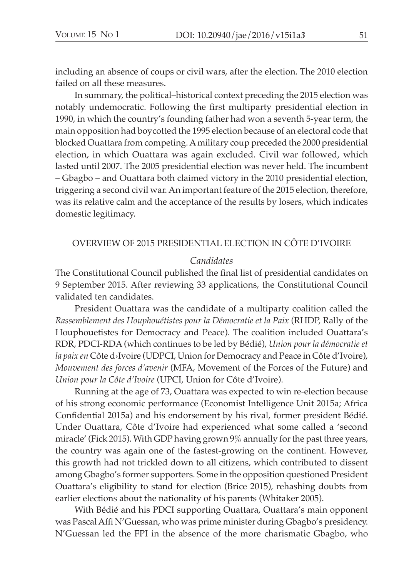including an absence of coups or civil wars, after the election. The 2010 election failed on all these measures.

In summary, the political–historical context preceding the 2015 election was notably undemocratic. Following the first multiparty presidential election in 1990, in which the country's founding father had won a seventh 5-year term, the main opposition had boycotted the 1995 election because of an electoral code that blocked Ouattara from competing. A military coup preceded the 2000 presidential election, in which Ouattara was again excluded. Civil war followed, which lasted until 2007. The 2005 presidential election was never held. The incumbent – Gbagbo – and Ouattara both claimed victory in the 2010 presidential election, triggering a second civil war. An important feature of the 2015 election, therefore, was its relative calm and the acceptance of the results by losers, which indicates domestic legitimacy.

## OVERVIEW OF 2015 PRESIDENTIAL ELECTION IN CôTE D'IVOIRE

## *Candidates*

The Constitutional Council published the final list of presidential candidates on 9 September 2015. After reviewing 33 applications, the Constitutional Council validated ten candidates.

President Ouattara was the candidate of a multiparty coalition called the *Rassemblement des Houphouétistes pour la Démocratie et la Paix* (RHDP, Rally of the Houphouetistes for Democracy and Peace). The coalition included Ouattara's RDR, PDCI-RDA (which continues to be led by Bédié), *Union pour la démocratie et la paix en* Côte d›Ivoire (UDPCI, Union for Democracy and Peace in Côte d'Ivoire), *Mouvement des forces d'avenir* (MFA, Movement of the Forces of the Future) and *Union pour la Côte d'Ivoire* (UPCI, Union for Côte d'Ivoire).

Running at the age of 73, Ouattara was expected to win re-election because of his strong economic performance (Economist Intelligence Unit 2015a; Africa Confidential 2015a) and his endorsement by his rival, former president Bédié. Under Ouattara, Côte d'Ivoire had experienced what some called a 'second miracle' (Fick 2015). With GDP having grown 9% annually for the past three years, the country was again one of the fastest-growing on the continent. However, this growth had not trickled down to all citizens, which contributed to dissent among Gbagbo's former supporters. Some in the opposition questioned President Ouattara's eligibility to stand for election (Brice 2015), rehashing doubts from earlier elections about the nationality of his parents (Whitaker 2005).

With Bédié and his PDCI supporting Ouattara, Ouattara's main opponent was Pascal Affi N'Guessan, who was prime minister during Gbagbo's presidency. N'Guessan led the FPI in the absence of the more charismatic Gbagbo, who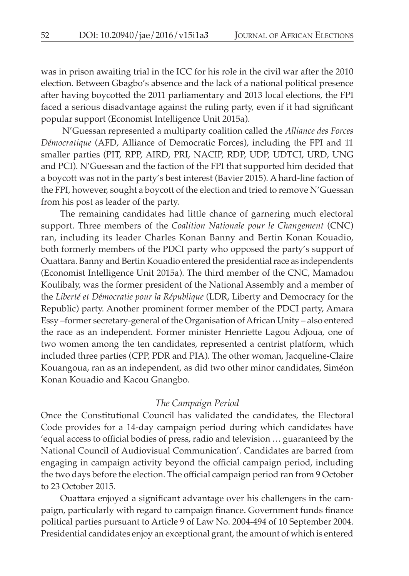was in prison awaiting trial in the ICC for his role in the civil war after the 2010 election. Between Gbagbo's absence and the lack of a national political presence after having boycotted the 2011 parliamentary and 2013 local elections, the FPI faced a serious disadvantage against the ruling party, even if it had significant popular support (Economist Intelligence Unit 2015a).

 N'Guessan represented a multiparty coalition called the *Alliance des Forces Démocratique* (AFD, Alliance of Democratic Forces), including the FPI and 11 smaller parties (PIT, RPP, AIRD, PRI, NACIP, RDP, UDP, UDTCI, URD, UNG and PCI). N'Guessan and the faction of the FPI that supported him decided that a boycott was not in the party's best interest (Bavier 2015). A hard-line faction of the FPI, however, sought a boycott of the election and tried to remove N'Guessan from his post as leader of the party.

The remaining candidates had little chance of garnering much electoral support. Three members of the *Coalition Nationale pour le Changement* (CNC) ran, including its leader Charles Konan Banny and Bertin Konan Kouadio, both formerly members of the PDCI party who opposed the party's support of Ouattara. Banny and Bertin Kouadio entered the presidential race as independents (Economist Intelligence Unit 2015a). The third member of the CNC, Mamadou Koulibaly, was the former president of the National Assembly and a member of the *Liberté et Démocratie pour la République* (LDR, Liberty and Democracy for the Republic) party. Another prominent former member of the PDCI party, Amara Essy –former secretary-general of the Organisation of African Unity – also entered the race as an independent. Former minister Henriette Lagou Adjoua, one of two women among the ten candidates, represented a centrist platform, which included three parties (CPP, PDR and PIA). The other woman, Jacqueline-Claire Kouangoua, ran as an independent, as did two other minor candidates, Siméon Konan Kouadio and Kacou Gnangbo.

### *The Campaign Period*

Once the Constitutional Council has validated the candidates, the Electoral Code provides for a 14-day campaign period during which candidates have 'equal access to official bodies of press, radio and television … guaranteed by the National Council of Audiovisual Communication'. Candidates are barred from engaging in campaign activity beyond the official campaign period, including the two days before the election. The official campaign period ran from 9 October to 23 October 2015.

Ouattara enjoyed a significant advantage over his challengers in the campaign, particularly with regard to campaign finance. Government funds finance political parties pursuant to Article 9 of Law No. 2004-494 of 10 September 2004. Presidential candidates enjoy an exceptional grant, the amount of which is entered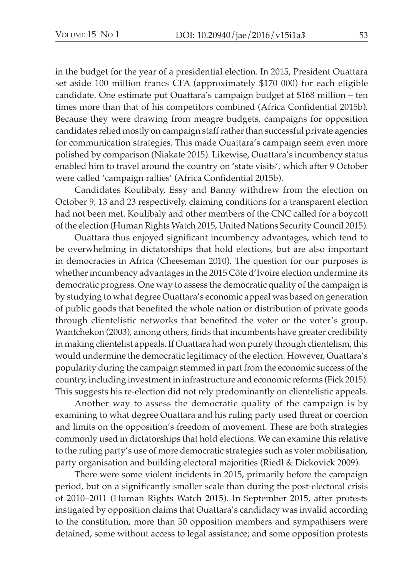in the budget for the year of a presidential election. In 2015, President Ouattara set aside 100 million francs CFA (approximately \$170 000) for each eligible candidate. One estimate put Ouattara's campaign budget at \$168 million – ten times more than that of his competitors combined (Africa Confidential 2015b). Because they were drawing from meagre budgets, campaigns for opposition candidates relied mostly on campaign staff rather than successful private agencies for communication strategies. This made Ouattara's campaign seem even more polished by comparison (Niakate 2015). Likewise, Ouattara's incumbency status enabled him to travel around the country on 'state visits', which after 9 October were called 'campaign rallies' (Africa Confidential 2015b).

Candidates Koulibaly, Essy and Banny withdrew from the election on October 9, 13 and 23 respectively, claiming conditions for a transparent election had not been met. Koulibaly and other members of the CNC called for a boycott of the election (Human Rights Watch 2015, United Nations Security Council 2015).

Ouattara thus enjoyed significant incumbency advantages, which tend to be overwhelming in dictatorships that hold elections, but are also important in democracies in Africa (Cheeseman 2010). The question for our purposes is whether incumbency advantages in the 2015 Côte d'Ivoire election undermine its democratic progress. One way to assess the democratic quality of the campaign is by studying to what degree Ouattara's economic appeal was based on generation of public goods that benefited the whole nation or distribution of private goods through clientelistic networks that benefited the voter or the voter's group. Wantchekon (2003), among others, finds that incumbents have greater credibility in making clientelist appeals. If Ouattara had won purely through clientelism, this would undermine the democratic legitimacy of the election. However, Ouattara's popularity during the campaign stemmed in part from the economic success of the country, including investment in infrastructure and economic reforms (Fick 2015). This suggests his re-election did not rely predominantly on clientelistic appeals.

Another way to assess the democratic quality of the campaign is by examining to what degree Ouattara and his ruling party used threat or coercion and limits on the opposition's freedom of movement. These are both strategies commonly used in dictatorships that hold elections. We can examine this relative to the ruling party's use of more democratic strategies such as voter mobilisation, party organisation and building electoral majorities (Riedl & Dickovick 2009).

There were some violent incidents in 2015, primarily before the campaign period, but on a significantly smaller scale than during the post-electoral crisis of 2010–2011 (Human Rights Watch 2015). In September 2015, after protests instigated by opposition claims that Ouattara's candidacy was invalid according to the constitution, more than 50 opposition members and sympathisers were detained, some without access to legal assistance; and some opposition protests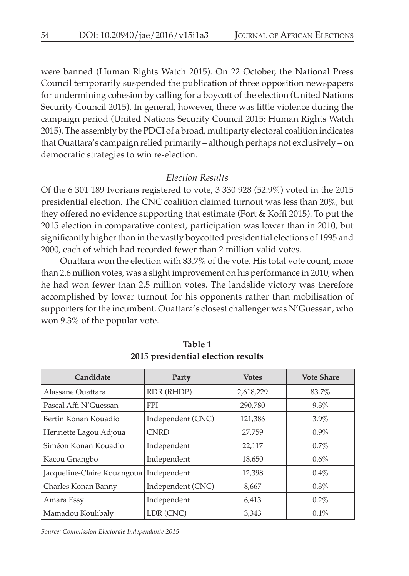were banned (Human Rights Watch 2015). On 22 October, the National Press Council temporarily suspended the publication of three opposition newspapers for undermining cohesion by calling for a boycott of the election (United Nations Security Council 2015). In general, however, there was little violence during the campaign period (United Nations Security Council 2015; Human Rights Watch 2015). The assembly by the PDCI of a broad, multiparty electoral coalition indicates that Ouattara's campaign relied primarily – although perhaps not exclusively – on democratic strategies to win re-election.

#### *Election Results*

Of the 6 301 189 Ivorians registered to vote, 3 330 928 (52.9%) voted in the 2015 presidential election. The CNC coalition claimed turnout was less than 20%, but they offered no evidence supporting that estimate (Fort & Koffi 2015). To put the 2015 election in comparative context, participation was lower than in 2010, but significantly higher than in the vastly boycotted presidential elections of 1995 and 2000, each of which had recorded fewer than 2 million valid votes.

Ouattara won the election with 83.7% of the vote. His total vote count, more than 2.6 million votes, was a slight improvement on his performance in 2010, when he had won fewer than 2.5 million votes. The landslide victory was therefore accomplished by lower turnout for his opponents rather than mobilisation of supporters for the incumbent. Ouattara's closest challenger was N'Guessan, who won 9.3% of the popular vote.

| Candidate                   | Party             | <b>Votes</b> | <b>Vote Share</b> |
|-----------------------------|-------------------|--------------|-------------------|
| Alassane Quattara           | RDR (RHDP)        | 2,618,229    | 83.7%             |
| Pascal Affi N'Guessan       | <b>FPI</b>        | 290,780      | $9.3\%$           |
| Bertin Konan Kouadio        | Independent (CNC) | 121,386      | $3.9\%$           |
| Henriette Lagou Adjoua      | <b>CNRD</b>       | 27,759       | $0.9\%$           |
| Siméon Konan Kouadio        | Independent       | 22,117       | $0.7\%$           |
| Kacou Gnangbo               | Independent       | 18,650       | $0.6\%$           |
| Jacqueline-Claire Kouangoua | Independent       | 12,398       | $0.4\%$           |
| Charles Konan Banny         | Independent (CNC) | 8,667        | 0.3%              |
| Amara Essy                  | Independent       | 6,413        | $0.2\%$           |
| Mamadou Koulibaly           | LDR (CNC)         | 3,343        | $0.1\%$           |

**Table 1 2015 presidential election results**

*Source: Commission Electorale Independante 2015*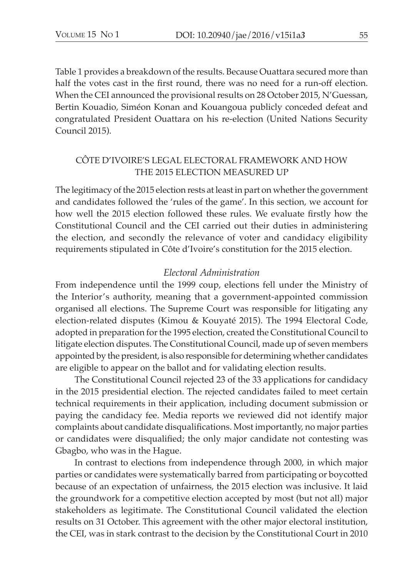Table 1 provides a breakdown of the results. Because Ouattara secured more than half the votes cast in the first round, there was no need for a run-off election. When the CEI announced the provisional results on 28 October 2015, N'Guessan, Bertin Kouadio, Siméon Konan and Kouangoua publicly conceded defeat and congratulated President Ouattara on his re-election (United Nations Security Council 2015).

# CôTE D'IVOIRE'S LEGAL ELECTORAL FRAMEWORK AND HOW THE 2015 ELECTION MEASURED UP

The legitimacy of the 2015 election rests at least in part on whether the government and candidates followed the 'rules of the game'. In this section, we account for how well the 2015 election followed these rules. We evaluate firstly how the Constitutional Council and the CEI carried out their duties in administering the election, and secondly the relevance of voter and candidacy eligibility requirements stipulated in Côte d'Ivoire's constitution for the 2015 election.

## *Electoral Administration*

From independence until the 1999 coup, elections fell under the Ministry of the Interior's authority, meaning that a government-appointed commission organised all elections. The Supreme Court was responsible for litigating any election-related disputes (Kimou & Kouyaté 2015). The 1994 Electoral Code, adopted in preparation for the 1995 election, created the Constitutional Council to litigate election disputes. The Constitutional Council, made up of seven members appointed by the president, is also responsible for determining whether candidates are eligible to appear on the ballot and for validating election results.

The Constitutional Council rejected 23 of the 33 applications for candidacy in the 2015 presidential election. The rejected candidates failed to meet certain technical requirements in their application, including document submission or paying the candidacy fee. Media reports we reviewed did not identify major complaints about candidate disqualifications. Most importantly, no major parties or candidates were disqualified; the only major candidate not contesting was Gbagbo, who was in the Hague.

In contrast to elections from independence through 2000, in which major parties or candidates were systematically barred from participating or boycotted because of an expectation of unfairness, the 2015 election was inclusive. It laid the groundwork for a competitive election accepted by most (but not all) major stakeholders as legitimate. The Constitutional Council validated the election results on 31 October. This agreement with the other major electoral institution, the CEI, was in stark contrast to the decision by the Constitutional Court in 2010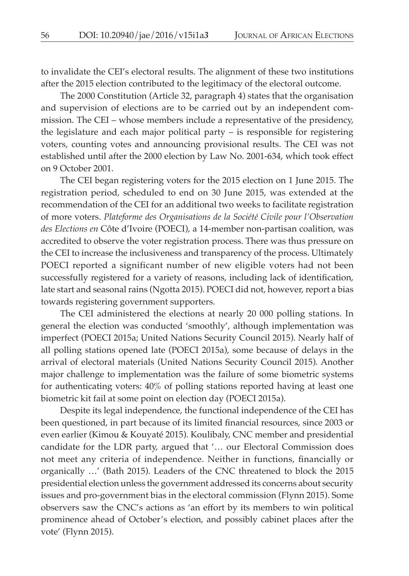to invalidate the CEI's electoral results. The alignment of these two institutions after the 2015 election contributed to the legitimacy of the electoral outcome.

The 2000 Constitution (Article 32, paragraph 4) states that the organisation and supervision of elections are to be carried out by an independent commission. The CEI – whose members include a representative of the presidency, the legislature and each major political party – is responsible for registering voters, counting votes and announcing provisional results. The CEI was not established until after the 2000 election by Law No. 2001-634, which took effect on 9 October 2001.

The CEI began registering voters for the 2015 election on 1 June 2015. The registration period, scheduled to end on 30 June 2015, was extended at the recommendation of the CEI for an additional two weeks to facilitate registration of more voters. *Plateforme des Organisations de la Société Civile pour l'Observation des Elections en* Côte d'Ivoire (POECI), a 14-member non-partisan coalition, was accredited to observe the voter registration process. There was thus pressure on the CEI to increase the inclusiveness and transparency of the process. Ultimately POECI reported a significant number of new eligible voters had not been successfully registered for a variety of reasons, including lack of identification, late start and seasonal rains (Ngotta 2015). POECI did not, however, report a bias towards registering government supporters.

The CEI administered the elections at nearly 20 000 polling stations. In general the election was conducted 'smoothly', although implementation was imperfect (POECI 2015a; United Nations Security Council 2015). Nearly half of all polling stations opened late (POECI 2015a), some because of delays in the arrival of electoral materials (United Nations Security Council 2015). Another major challenge to implementation was the failure of some biometric systems for authenticating voters: 40% of polling stations reported having at least one biometric kit fail at some point on election day (POECI 2015a).

Despite its legal independence, the functional independence of the CEI has been questioned, in part because of its limited financial resources, since 2003 or even earlier (Kimou & Kouyaté 2015). Koulibaly, CNC member and presidential candidate for the LDR party, argued that '… our Electoral Commission does not meet any criteria of independence. Neither in functions, financially or organically …' (Bath 2015). Leaders of the CNC threatened to block the 2015 presidential election unless the government addressed its concerns about security issues and pro-government bias in the electoral commission (Flynn 2015). Some observers saw the CNC's actions as 'an effort by its members to win political prominence ahead of October's election, and possibly cabinet places after the vote' (Flynn 2015).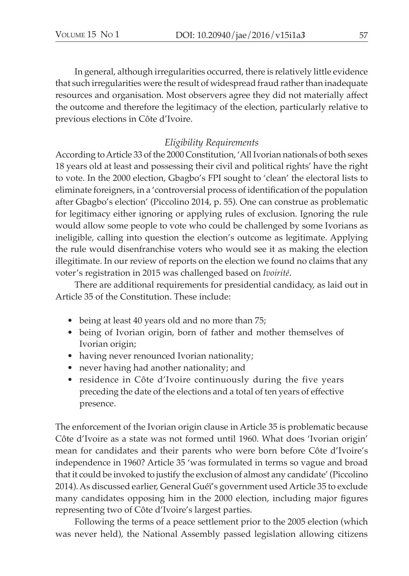In general, although irregularities occurred, there is relatively little evidence that such irregularities were the result of widespread fraud rather than inadequate resources and organisation. Most observers agree they did not materially affect the outcome and therefore the legitimacy of the election, particularly relative to previous elections in Côte d'Ivoire.

# *Eligibility Requirements*

According to Article 33 of the 2000 Constitution, 'All Ivorian nationals of both sexes 18 years old at least and possessing their civil and political rights' have the right to vote. In the 2000 election, Gbagbo's FPI sought to 'clean' the electoral lists to eliminate foreigners, in a 'controversial process of identification of the population after Gbagbo's election' (Piccolino 2014, p. 55). One can construe as problematic for legitimacy either ignoring or applying rules of exclusion. Ignoring the rule would allow some people to vote who could be challenged by some Ivorians as ineligible, calling into question the election's outcome as legitimate. Applying the rule would disenfranchise voters who would see it as making the election illegitimate. In our review of reports on the election we found no claims that any voter's registration in 2015 was challenged based on *Ivoirité*.

There are additional requirements for presidential candidacy, as laid out in Article 35 of the Constitution. These include:

- being at least 40 years old and no more than 75;
- being of Ivorian origin, born of father and mother themselves of Ivorian origin;
- having never renounced Ivorian nationality;
- never having had another nationality; and
- residence in Côte d'Ivoire continuously during the five years preceding the date of the elections and a total of ten years of effective presence.

The enforcement of the Ivorian origin clause in Article 35 is problematic because Côte d'Ivoire as a state was not formed until 1960. What does 'Ivorian origin' mean for candidates and their parents who were born before Côte d'Ivoire's independence in 1960? Article 35 'was formulated in terms so vague and broad that it could be invoked to justify the exclusion of almost any candidate' (Piccolino 2014). As discussed earlier, General Guéï's government used Article 35 to exclude many candidates opposing him in the 2000 election, including major figures representing two of Côte d'Ivoire's largest parties.

Following the terms of a peace settlement prior to the 2005 election (which was never held), the National Assembly passed legislation allowing citizens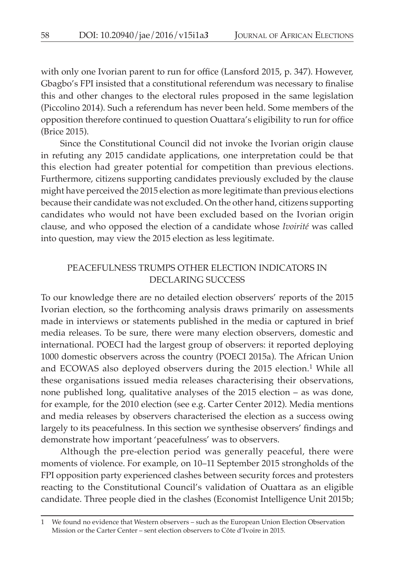with only one Ivorian parent to run for office (Lansford 2015, p. 347). However, Gbagbo's FPI insisted that a constitutional referendum was necessary to finalise this and other changes to the electoral rules proposed in the same legislation (Piccolino 2014). Such a referendum has never been held. Some members of the opposition therefore continued to question Ouattara's eligibility to run for office (Brice 2015).

Since the Constitutional Council did not invoke the Ivorian origin clause in refuting any 2015 candidate applications, one interpretation could be that this election had greater potential for competition than previous elections. Furthermore, citizens supporting candidates previously excluded by the clause might have perceived the 2015 election as more legitimate than previous elections because their candidate was not excluded. On the other hand, citizens supporting candidates who would not have been excluded based on the Ivorian origin clause, and who opposed the election of a candidate whose *Ivoirité* was called into question, may view the 2015 election as less legitimate.

# PEACEFULNESS TRUMPS OTHER ELECTION INDICATORS IN DECLARING SUCCESS

To our knowledge there are no detailed election observers' reports of the 2015 Ivorian election, so the forthcoming analysis draws primarily on assessments made in interviews or statements published in the media or captured in brief media releases. To be sure, there were many election observers, domestic and international. POECI had the largest group of observers: it reported deploying 1000 domestic observers across the country (POECI 2015a). The African Union and ECOWAS also deployed observers during the 2015 election.1 While all these organisations issued media releases characterising their observations, none published long, qualitative analyses of the 2015 election – as was done, for example, for the 2010 election (see e.g. Carter Center 2012). Media mentions and media releases by observers characterised the election as a success owing largely to its peacefulness. In this section we synthesise observers' findings and demonstrate how important 'peacefulness' was to observers.

Although the pre-election period was generally peaceful, there were moments of violence. For example, on 10–11 September 2015 strongholds of the FPI opposition party experienced clashes between security forces and protesters reacting to the Constitutional Council's validation of Ouattara as an eligible candidate. Three people died in the clashes (Economist Intelligence Unit 2015b;

<sup>1</sup> We found no evidence that Western observers – such as the European Union Election Observation Mission or the Carter Center – sent election observers to Côte d'Ivoire in 2015.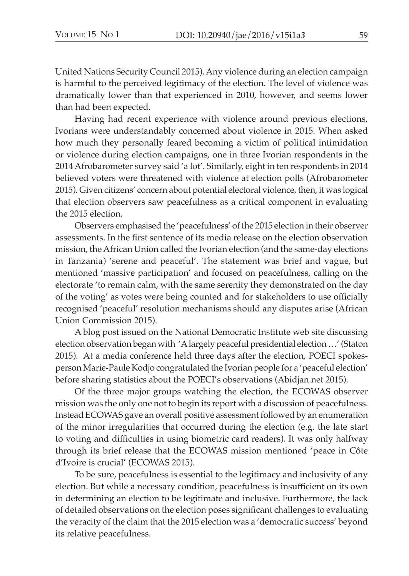United Nations Security Council 2015). Any violence during an election campaign is harmful to the perceived legitimacy of the election. The level of violence was dramatically lower than that experienced in 2010, however, and seems lower than had been expected.

Having had recent experience with violence around previous elections, Ivorians were understandably concerned about violence in 2015. When asked how much they personally feared becoming a victim of political intimidation or violence during election campaigns, one in three Ivorian respondents in the 2014 Afrobarometer survey said 'a lot'. Similarly, eight in ten respondents in 2014 believed voters were threatened with violence at election polls (Afrobarometer 2015). Given citizens' concern about potential electoral violence, then, it was logical that election observers saw peacefulness as a critical component in evaluating the 2015 election.

Observers emphasised the 'peacefulness' of the 2015 election in their observer assessments. In the first sentence of its media release on the election observation mission, the African Union called the Ivorian election (and the same-day elections in Tanzania) 'serene and peaceful'. The statement was brief and vague, but mentioned 'massive participation' and focused on peacefulness, calling on the electorate 'to remain calm, with the same serenity they demonstrated on the day of the voting' as votes were being counted and for stakeholders to use officially recognised 'peaceful' resolution mechanisms should any disputes arise (African Union Commission 2015).

A blog post issued on the National Democratic Institute web site discussing election observation began with 'A largely peaceful presidential election …' (Staton 2015). At a media conference held three days after the election, POECI spokesperson Marie-Paule Kodjo congratulated the Ivorian people for a 'peaceful election' before sharing statistics about the POECI's observations (Abidjan.net 2015).

Of the three major groups watching the election, the ECOWAS observer mission was the only one not to begin its report with a discussion of peacefulness. Instead ECOWAS gave an overall positive assessment followed by an enumeration of the minor irregularities that occurred during the election (e.g. the late start to voting and difficulties in using biometric card readers). It was only halfway through its brief release that the ECOWAS mission mentioned 'peace in Côte d'Ivoire is crucial' (ECOWAS 2015).

To be sure, peacefulness is essential to the legitimacy and inclusivity of any election. But while a necessary condition, peacefulness is insufficient on its own in determining an election to be legitimate and inclusive. Furthermore, the lack of detailed observations on the election poses significant challenges to evaluating the veracity of the claim that the 2015 election was a 'democratic success' beyond its relative peacefulness.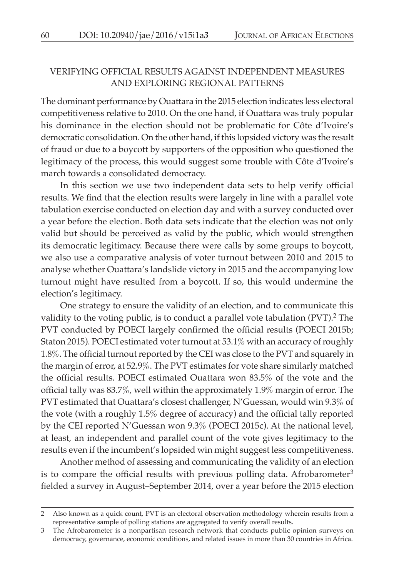## VERIFYING OFFICIAL RESULTS AGAINST INDEPENDENT MEASURES AND EXPLORING REGIONAL PATTERNS

The dominant performance by Ouattara in the 2015 election indicates less electoral competitiveness relative to 2010. On the one hand, if Ouattara was truly popular his dominance in the election should not be problematic for Côte d'Ivoire's democratic consolidation. On the other hand, if this lopsided victory was the result of fraud or due to a boycott by supporters of the opposition who questioned the legitimacy of the process, this would suggest some trouble with Côte d'Ivoire's march towards a consolidated democracy.

In this section we use two independent data sets to help verify official results. We find that the election results were largely in line with a parallel vote tabulation exercise conducted on election day and with a survey conducted over a year before the election. Both data sets indicate that the election was not only valid but should be perceived as valid by the public, which would strengthen its democratic legitimacy. Because there were calls by some groups to boycott, we also use a comparative analysis of voter turnout between 2010 and 2015 to analyse whether Ouattara's landslide victory in 2015 and the accompanying low turnout might have resulted from a boycott. If so, this would undermine the election's legitimacy.

One strategy to ensure the validity of an election, and to communicate this validity to the voting public, is to conduct a parallel vote tabulation (PVT).<sup>2</sup> The PVT conducted by POECI largely confirmed the official results (POECI 2015b; Staton 2015). POECI estimated voter turnout at 53.1% with an accuracy of roughly 1.8%. The official turnout reported by the CEI was close to the PVT and squarely in the margin of error, at 52.9%. The PVT estimates for vote share similarly matched the official results. POECI estimated Ouattara won 83.5% of the vote and the official tally was 83.7%, well within the approximately 1.9% margin of error. The PVT estimated that Ouattara's closest challenger, N'Guessan, would win 9.3% of the vote (with a roughly 1.5% degree of accuracy) and the official tally reported by the CEI reported N'Guessan won 9.3% (POECI 2015c). At the national level, at least, an independent and parallel count of the vote gives legitimacy to the results even if the incumbent's lopsided win might suggest less competitiveness.

Another method of assessing and communicating the validity of an election is to compare the official results with previous polling data. Afrobarometer<sup>3</sup> fielded a survey in August–September 2014, over a year before the 2015 election

<sup>2</sup> Also known as a quick count, PVT is an electoral observation methodology wherein results from a representative sample of polling stations are aggregated to verify overall results.

<sup>3</sup> The Afrobarometer is a nonpartisan research network that conducts public opinion surveys on democracy, governance, economic conditions, and related issues in more than 30 countries in Africa.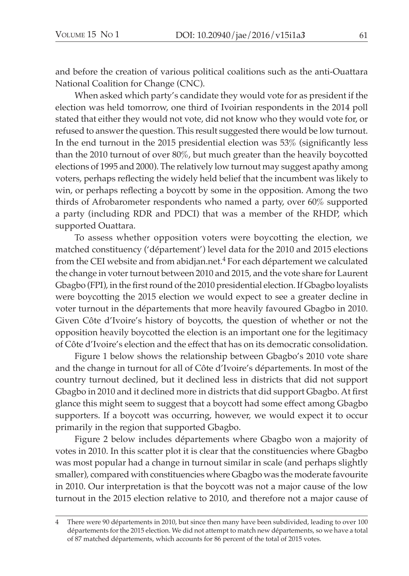and before the creation of various political coalitions such as the anti-Ouattara National Coalition for Change (CNC).

When asked which party's candidate they would vote for as president if the election was held tomorrow, one third of Ivoirian respondents in the 2014 poll stated that either they would not vote, did not know who they would vote for, or refused to answer the question. This result suggested there would be low turnout. In the end turnout in the 2015 presidential election was 53% (significantly less than the 2010 turnout of over 80%, but much greater than the heavily boycotted elections of 1995 and 2000). The relatively low turnout may suggest apathy among voters, perhaps reflecting the widely held belief that the incumbent was likely to win, or perhaps reflecting a boycott by some in the opposition. Among the two thirds of Afrobarometer respondents who named a party, over 60% supported a party (including RDR and PDCI) that was a member of the RHDP, which supported Ouattara.

To assess whether opposition voters were boycotting the election, we matched constituency ('département') level data for the 2010 and 2015 elections from the CEI website and from abidjan.net.<sup>4</sup> For each département we calculated the change in voter turnout between 2010 and 2015, and the vote share for Laurent Gbagbo (FPI), in the first round of the 2010 presidential election. If Gbagbo loyalists were boycotting the 2015 election we would expect to see a greater decline in voter turnout in the départements that more heavily favoured Gbagbo in 2010. Given Côte d'Ivoire's history of boycotts, the question of whether or not the opposition heavily boycotted the election is an important one for the legitimacy of Côte d'Ivoire's election and the effect that has on its democratic consolidation.

Figure 1 below shows the relationship between Gbagbo's 2010 vote share and the change in turnout for all of Côte d'Ivoire's départements. In most of the country turnout declined, but it declined less in districts that did not support Gbagbo in 2010 and it declined more in districts that did support Gbagbo. At first glance this might seem to suggest that a boycott had some effect among Gbagbo supporters. If a boycott was occurring, however, we would expect it to occur primarily in the region that supported Gbagbo.

Figure 2 below includes départements where Gbagbo won a majority of votes in 2010. In this scatter plot it is clear that the constituencies where Gbagbo was most popular had a change in turnout similar in scale (and perhaps slightly smaller), compared with constituencies where Gbagbo was the moderate favourite in 2010. Our interpretation is that the boycott was not a major cause of the low turnout in the 2015 election relative to 2010, and therefore not a major cause of

<sup>4</sup> There were 90 départements in 2010, but since then many have been subdivided, leading to over 100 départements for the 2015 election. We did not attempt to match new départements, so we have a total of 87 matched départements, which accounts for 86 percent of the total of 2015 votes.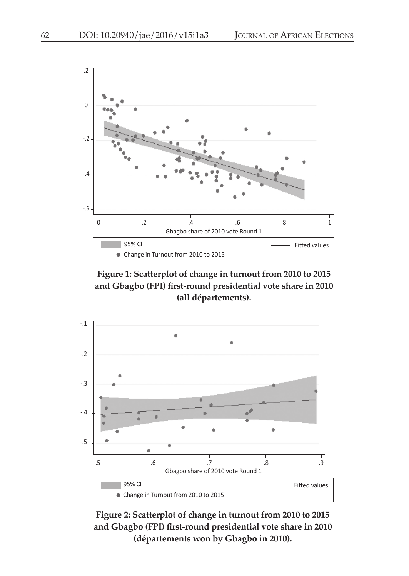

**Figure 1: Scatterplot of change in turnout from 2010 to 2015 and Gbagbo (FPI) first-round presidential vote share in 2010 (all départements).**



**Figure 2: Scatterplot of change in turnout from 2010 to 2015 and Gbagbo (FPI) first-round presidential vote share in 2010 (départements won by Gbagbo in 2010).**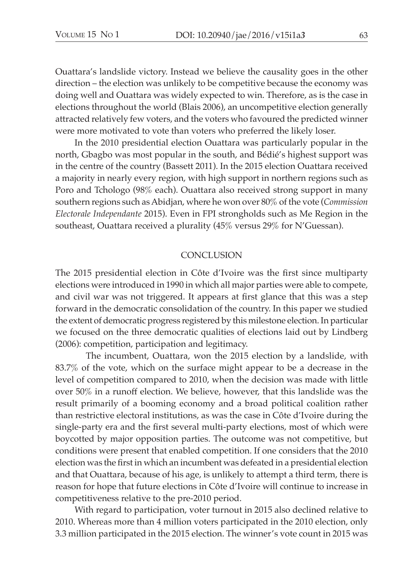Ouattara's landslide victory. Instead we believe the causality goes in the other direction – the election was unlikely to be competitive because the economy was doing well and Ouattara was widely expected to win. Therefore, as is the case in elections throughout the world (Blais 2006), an uncompetitive election generally attracted relatively few voters, and the voters who favoured the predicted winner were more motivated to vote than voters who preferred the likely loser.

In the 2010 presidential election Ouattara was particularly popular in the north, Gbagbo was most popular in the south, and Bédié's highest support was in the centre of the country (Bassett 2011). In the 2015 election Ouattara received a majority in nearly every region, with high support in northern regions such as Poro and Tchologo (98% each). Ouattara also received strong support in many southern regions such as Abidjan, where he won over 80% of the vote (*Commission Electorale Independante* 2015). Even in FPI strongholds such as Me Region in the southeast, Ouattara received a plurality (45% versus 29% for N'Guessan).

#### **CONCLUSION**

The 2015 presidential election in Côte d'Ivoire was the first since multiparty elections were introduced in 1990 in which all major parties were able to compete, and civil war was not triggered. It appears at first glance that this was a step forward in the democratic consolidation of the country. In this paper we studied the extent of democratic progress registered by this milestone election. In particular we focused on the three democratic qualities of elections laid out by Lindberg (2006): competition, participation and legitimacy.

The incumbent, Ouattara, won the 2015 election by a landslide, with 83.7% of the vote, which on the surface might appear to be a decrease in the level of competition compared to 2010, when the decision was made with little over 50% in a runoff election. We believe, however, that this landslide was the result primarily of a booming economy and a broad political coalition rather than restrictive electoral institutions, as was the case in Côte d'Ivoire during the single-party era and the first several multi-party elections, most of which were boycotted by major opposition parties. The outcome was not competitive, but conditions were present that enabled competition. If one considers that the 2010 election was the first in which an incumbent was defeated in a presidential election and that Ouattara, because of his age, is unlikely to attempt a third term, there is reason for hope that future elections in Côte d'Ivoire will continue to increase in competitiveness relative to the pre-2010 period.

With regard to participation, voter turnout in 2015 also declined relative to 2010. Whereas more than 4 million voters participated in the 2010 election, only 3.3 million participated in the 2015 election. The winner's vote count in 2015 was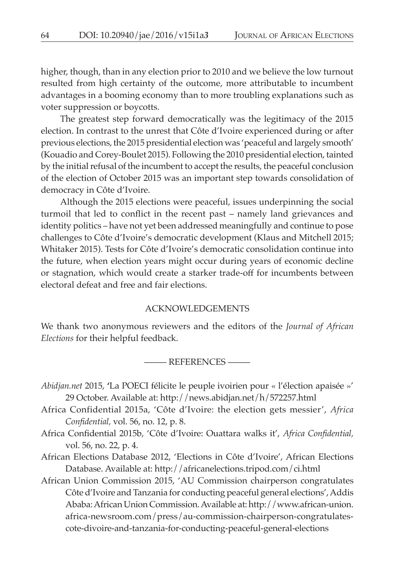higher, though, than in any election prior to 2010 and we believe the low turnout resulted from high certainty of the outcome, more attributable to incumbent advantages in a booming economy than to more troubling explanations such as voter suppression or boycotts.

The greatest step forward democratically was the legitimacy of the 2015 election. In contrast to the unrest that Côte d'Ivoire experienced during or after previous elections, the 2015 presidential election was 'peaceful and largely smooth' (Kouadio and Corey-Boulet 2015). Following the 2010 presidential election, tainted by the initial refusal of the incumbent to accept the results, the peaceful conclusion of the election of October 2015 was an important step towards consolidation of democracy in Côte d'Ivoire.

Although the 2015 elections were peaceful, issues underpinning the social turmoil that led to conflict in the recent past – namely land grievances and identity politics – have not yet been addressed meaningfully and continue to pose challenges to Côte d'Ivoire's democratic development (Klaus and Mitchell 2015; Whitaker 2015). Tests for Côte d'Ivoire's democratic consolidation continue into the future, when election years might occur during years of economic decline or stagnation, which would create a starker trade-off for incumbents between electoral defeat and free and fair elections.

#### ACKNOWLEDGEMENTS

We thank two anonymous reviewers and the editors of the *Journal of African Elections* for their helpful feedback.

––––– References –––––

- *Abidjan.net* 2015, **'**La POECI félicite le peuple ivoirien pour « l'élection apaisée »' 29 October. Available at:<http://news.abidjan.net/h/572257.html>
- Africa Confidential 2015a, 'Côte d'Ivoire: the election gets messier', *Africa Confidential,* vol. 56, no. 12, p. 8.
- Africa Confidential 2015b, 'Côte d'Ivoire: Ouattara walks it', *Africa Confidential,* vol. 56, no. 22, p. 4.
- African Elections Database 2012, 'Elections in Côte d'Ivoire', African Elections Database. Available at:<http://africanelections.tripod.com/ci.html>
- African Union Commission 2015, 'AU Commission chairperson congratulates Côte d'Ivoire and Tanzania for conducting peaceful general elections', Addis Ababa: African Union Commission. Available at: [http://www.african-union.](http://www.african-union.africa-newsroom.com/press/au-commission-chairperson-congratulates-cote-divoire-and-tanzania-for-conducting-peaceful-general-elections) [africa-newsroom.com/press/au-commission-chairperson-congratulates](http://www.african-union.africa-newsroom.com/press/au-commission-chairperson-congratulates-cote-divoire-and-tanzania-for-conducting-peaceful-general-elections)[cote-divoire-and-tanzania-for-conducting-peaceful-general-elections](http://www.african-union.africa-newsroom.com/press/au-commission-chairperson-congratulates-cote-divoire-and-tanzania-for-conducting-peaceful-general-elections)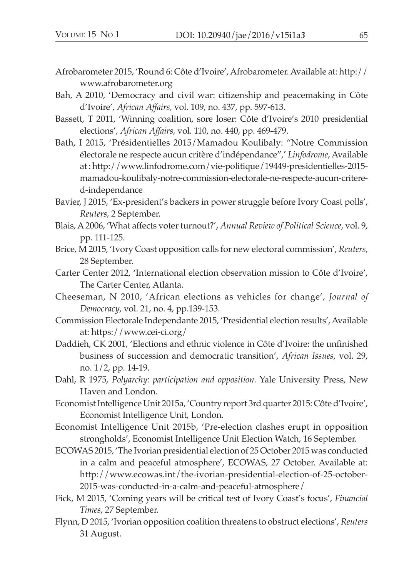- Afrobarometer 2015, 'Round 6: Côte d'Ivoire', Afrobarometer. Available at: [http://](http://www.afrobarometer.org/) [www.afrobarometer.org](http://www.afrobarometer.org/)
- Bah, A 2010, 'Democracy and civil war: citizenship and peacemaking in Côte d'Ivoire', *African Affairs,* vol. 109, no. 437, pp. 597-613.
- Bassett, T 2011, 'Winning coalition, sore loser: Côte d'Ivoire's 2010 presidential elections', *African Affairs,* vol. 110, no. 440, pp. 469-479.
- Bath, I 2015, 'Présidentielles 2015/Mamadou Koulibaly: "Notre Commission électorale ne respecte aucun critère d'indépendance",' *Linfodrome*, Available at: [http://www.linfodrome.com/vie-politique/19449-presidentielles-2015](http://www.linfodrome.com/vie-politique/19449-presidentielles-2015-mamadou-koulibaly-notre-commission-electorale-ne-respecte-aucun-critere-d-independance) [mamadou-koulibaly-notre-commission-electorale-ne-respecte-aucun-critere](http://www.linfodrome.com/vie-politique/19449-presidentielles-2015-mamadou-koulibaly-notre-commission-electorale-ne-respecte-aucun-critere-d-independance)[d-independance](http://www.linfodrome.com/vie-politique/19449-presidentielles-2015-mamadou-koulibaly-notre-commission-electorale-ne-respecte-aucun-critere-d-independance)
- Bavier, J 2015, 'Ex-president's backers in power struggle before Ivory Coast polls', *Reuters*, 2 September.
- Blais, A 2006, 'What affects voter turnout?', *Annual Review of Political Science,* vol. 9, pp. 111-125.
- Brice, M 2015, 'Ivory Coast opposition calls for new electoral commission', *Reuters*, 28 September.
- Carter Center 2012, 'International election observation mission to Côte d'Ivoire', The Carter Center, Atlanta.
- Cheeseman, N 2010, 'African elections as vehicles for change', *Journal of Democracy*, vol. 21, no. 4, pp.139-153.
- Commission Electorale Independante 2015, 'Presidential election results', Available at: <https://www.cei-ci.org/>
- Daddieh, CK 2001, 'Elections and ethnic violence in Côte d'Ivoire: the unfinished business of succession and democratic transition', *African Issues,* vol. 29, no. 1/2, pp. 14-19.
- Dahl, R 1975, *Polyarchy: participation and opposition.* Yale University Press, New Haven and London.
- Economist Intelligence Unit 2015a, 'Country report 3rd quarter 2015: Côte d'Ivoire', Economist Intelligence Unit, London.
- Economist Intelligence Unit 2015b, 'Pre-election clashes erupt in opposition strongholds', Economist Intelligence Unit Election Watch, 16 September.
- ECOWAS 2015, 'The Ivorian presidential election of 25 October 2015 was conducted in a calm and peaceful atmosphere', ECOWAS, 27 October. Available at: [http://www.ecowas.int/the-ivorian-presidential-election-of-25-october-](http://www.ecowas.int/the-ivorian-presidential-election-of-25-october-2015-was-conducted-in-a-calm-and-peaceful-atmosphere/)[2015-was-conducted-in-a-calm-and-peaceful-atmosphere/](http://www.ecowas.int/the-ivorian-presidential-election-of-25-october-2015-was-conducted-in-a-calm-and-peaceful-atmosphere/)
- Fick, M 2015, 'Coming years will be critical test of Ivory Coast's focus', *Financial Times*, 27 September.
- Flynn, D 2015, 'Ivorian opposition coalition threatens to obstruct elections', *Reuters* 31 August.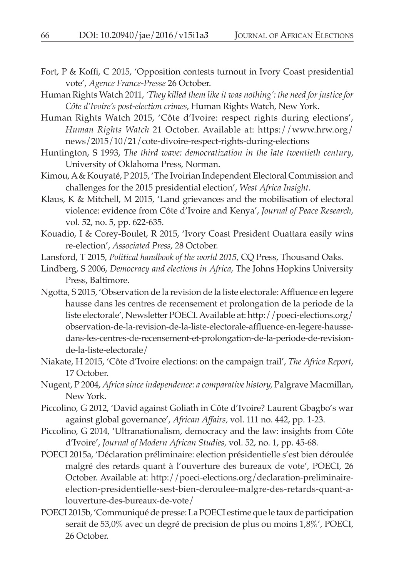- Fort, P & Koffi, C 2015, 'Opposition contests turnout in Ivory Coast presidential vote', *Agence France-Presse* 26 October.
- Human Rights Watch 2011, *'They killed them like it was nothing': the need for justice for Côte d'Ivoire's post-election crimes*, Human Rights Watch, New York.
- Human Rights Watch 2015, 'Côte d'Ivoire: respect rights during elections', *Human Rights Watch* 21 October. Available at: [https://www.hrw.org/](https://www.hrw.org/news/2015/10/21/cote-divoire-respect-rights-during-elections) [news/2015/10/21/cote-divoire-respect-rights-during-elections](https://www.hrw.org/news/2015/10/21/cote-divoire-respect-rights-during-elections)
- Huntington, S 1993, *The third wave: democratization in the late twentieth century*, University of Oklahoma Press, Norman.
- Kimou, A & Kouyaté, P 2015, 'The Ivoirian Independent Electoral Commission and challenges for the 2015 presidential election', *West Africa Insight*.
- Klaus, K & Mitchell, M 2015, 'Land grievances and the mobilisation of electoral violence: evidence from Côte d'Ivoire and Kenya', *Journal of Peace Research,*  vol. 52, no. 5, pp. 622-635.
- Kouadio, I & Corey-Boulet, R 2015, 'Ivory Coast President Ouattara easily wins re-election', *Associated Press*, 28 October.
- Lansford, T 2015, *Political handbook of the world 2015,* CQ Press, Thousand Oaks.
- Lindberg, S 2006, *Democracy and elections in Africa,* The Johns Hopkins University Press, Baltimore.
- Ngotta, S 2015, 'Observation de la revision de la liste electorale: Affluence en legere hausse dans les centres de recensement et prolongation de la periode de la liste electorale', Newsletter POECI. Available at: [http://poeci-elections.org/](http://poeci-elections.org/observation-de-la-revision-de-la-liste-electorale-affluence-en-legere-hausse-dans-les-centres-de-recensement-et-prolongation-de-la-periode-de-revision-de-la-liste-electorale/) [observation-de-la-revision-de-la-liste-electorale-affluence-en-legere-hausse](http://poeci-elections.org/observation-de-la-revision-de-la-liste-electorale-affluence-en-legere-hausse-dans-les-centres-de-recensement-et-prolongation-de-la-periode-de-revision-de-la-liste-electorale/)[dans-les-centres-de-recensement-et-prolongation-de-la-periode-de-revision](http://poeci-elections.org/observation-de-la-revision-de-la-liste-electorale-affluence-en-legere-hausse-dans-les-centres-de-recensement-et-prolongation-de-la-periode-de-revision-de-la-liste-electorale/)[de-la-liste-electorale/](http://poeci-elections.org/observation-de-la-revision-de-la-liste-electorale-affluence-en-legere-hausse-dans-les-centres-de-recensement-et-prolongation-de-la-periode-de-revision-de-la-liste-electorale/)
- Niakate, H 2015, 'Côte d'Ivoire elections: on the campaign trail', *The Africa Report*, 17 October.
- Nugent, P 2004, *Africa since independence: a comparative history,* Palgrave Macmillan, New York.
- Piccolino, G 2012, 'David against Goliath in Côte d'Ivoire? Laurent Gbagbo's war against global governance', *African Affairs,* vol. 111 no. 442, pp. 1-23.
- Piccolino, G 2014, 'Ultranationalism, democracy and the law: insights from Côte d'Ivoire', *Journal of Modern African Studies,* vol. 52, no. 1, pp. 45-68.
- POECI 2015a, 'Déclaration préliminaire: election présidentielle s'est bien déroulée malgré des retards quant à l'ouverture des bureaux de vote', POECI, 26 October. Available at: [http://poeci-elections.org/declaration-preliminaire](http://poeci-elections.org/declaration-preliminaire-election-presidentielle-sest-bien-deroulee-malgre-des-retards-quant-a-louverture-des-bureaux-de-vote/)[election-presidentielle-sest-bien-deroulee-malgre-des-retards-quant-a](http://poeci-elections.org/declaration-preliminaire-election-presidentielle-sest-bien-deroulee-malgre-des-retards-quant-a-louverture-des-bureaux-de-vote/)[louverture-des-bureaux-de-vote/](http://poeci-elections.org/declaration-preliminaire-election-presidentielle-sest-bien-deroulee-malgre-des-retards-quant-a-louverture-des-bureaux-de-vote/)
- POECI 2015b, 'Communiqué de presse: La POECI estime que le taux de participation serait de 53,0% avec un degré de precision de plus ou moins 1,8%', POECI, 26 October.